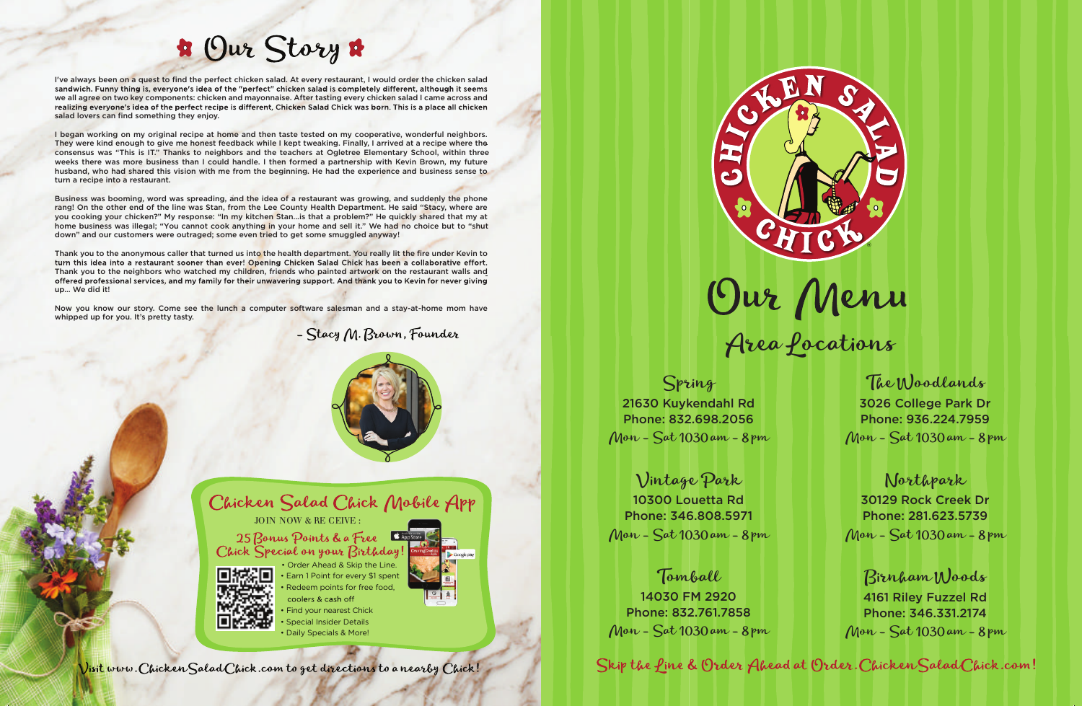

Find your nearest Chick • Special Insider Details

• Daily Specials & More!

Visit www.Chicken Salad Chick.com to get directions to a nearby Chick!

## **B** Our Story

I've always been on a quest to find the perfect chicken salad. At every restaurant, I would order the chicken salad sandwich. Funny thing is, everyone's idea of the "perfect" chicken salad is completely different, although it seems we all agree on two key components: chicken and mayonnaise. After tasting every chicken salad I came across and realizing everyone's idea of the perfect recipe is different, Chicken Salad Chick was born. This is a place all chicken salad lovers can find something they enjoy.

I began working on my original recipe at home and then taste tested on my cooperative, wonderful neighbors. They were kind enough to give me honest feedback while I kept tweaking. Finally, I arrived at a recipe where the consensus was "This is IT." Thanks to neighbors and the teachers at Ogletree Elementary School, within three weeks there was more business than I could handle. I then formed a partnership with Kevin Brown, my future husband, who had shared this vision with me from the beginning. He had the experience and business sense to turn a recipe into a restaurant.

Business was booming, word was spreading, and the idea of a restaurant was growing, and suddenly the phone rang! On the other end of the line was Stan, from the Lee County Health Department. He said "Stacy, where are you cooking your chicken?" My response: "In my kitchen Stan…is that a problem?" He quickly shared that my at home business was illegal; "You cannot cook anything in your home and sell it." We had no choice but to "shut down" and our customers were outraged; some even tried to get some smuggled anyway!

Thank you to the anonymous caller that turned us into the health department. You really lit the fire under Kevin to turn this idea into a restaurant sooner than ever! Opening Chicken Salad Chick has been a collaborative effort. Thank you to the neighbors who watched my children, friends who painted artwork on the restaurant walls and offered professional services, and my family for their unwavering support. And thank you to Kevin for never giving up… We did it!

Now you know our story. Come see the lunch a computer software salesman and a stay-at-home mom have whipped up for you. It's pretty tasty.

> • Order Ahead & Skip the Line. • Earn 1 Point for every \$1 spent Redeem points for free food, coolers & cash off

- Stacy M. Brown, Founder







JOIN NOW & RE CEIVE :

25 Bonus Points & a Free Chick Special on your Birthday!





Spring

21630 Kuykendahl Rd Phone: 832.698.2056 Mon - Sat 1030 am - 8 pm

The Woodlands 3026 College Park Dr Phone: 936.224.7959 Mon - Sat 1030 am - 8 pm

Vintage Park 10300 Louetta Rd Phone: 346.808.5971 Mon - Sat 1030 am - 8 pm

Northpark 30129 Rock Creek Dr Phone: 281.623.5739 Mon - Sat 1030 am - 8 pm

Tomball

14030 FM 2920 Phone: 832.761.7858 Mon - Sat 1030 am - 8 pm

Skip the fine & Order Ahead at Order. Chicken Salad Chick.com!

Birnham Woods 4161 Riley Fuzzel Rd Phone: 346.331.2174 Mon - Sat 1030 am - 8 pm